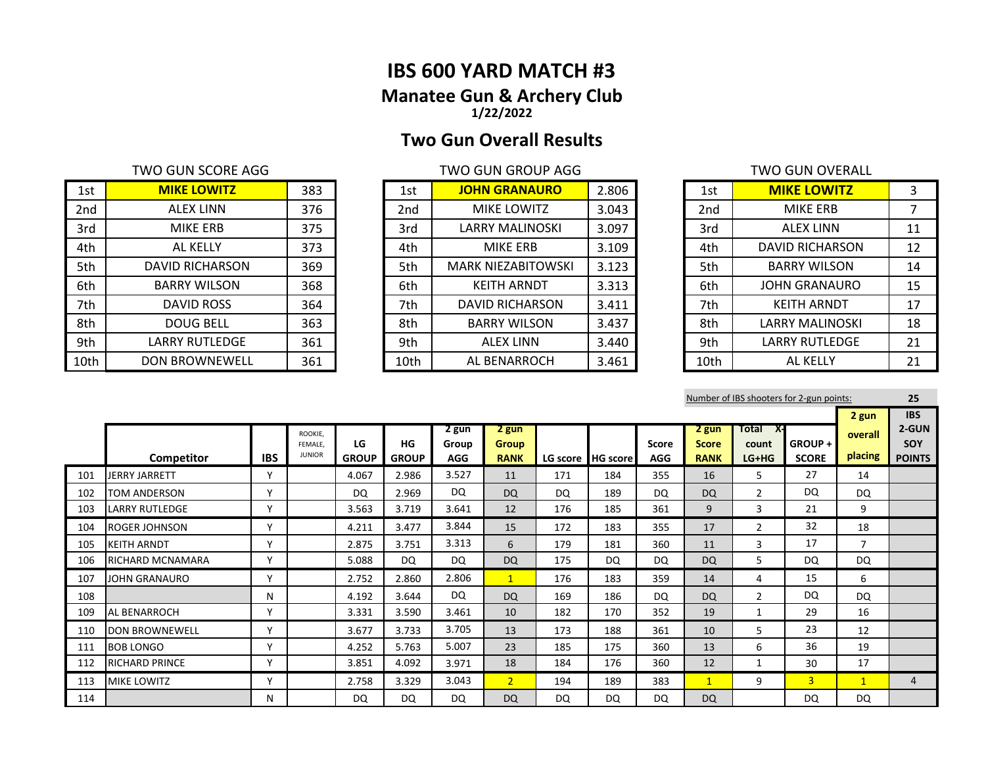# **IBS 600 YARD MATCH #3 Manatee Gun & Archery Club 1/22/2022**

# **Two Gun Overall Results**

| 1st  | <b>MIKE LOWITZ</b>    | 383 | 1st             | <b>JOHN GRANAURO</b>      | 2.806 | 1st  | <b>MIKE LOWITZ</b>     |    |
|------|-----------------------|-----|-----------------|---------------------------|-------|------|------------------------|----|
| 2nd  | <b>ALEX LINN</b>      | 376 | 2 <sub>nd</sub> | MIKE LOWITZ               | 3.043 | 2nd  | MIKE ERB               |    |
| 3rd  | MIKE ERB              | 375 | 3rd             | LARRY MALINOSKI           | 3.097 | 3rd  | ALEX LINN              | 11 |
| 4th  | AL KELLY              | 373 | 4th             | MIKE ERB                  | 3.109 | 4th  | DAVID RICHARSON        | 12 |
| 5th  | DAVID RICHARSON       | 369 | 5th             | <b>MARK NIEZABITOWSKI</b> | 3.123 | 5th  | <b>BARRY WILSON</b>    | 14 |
| 6th  | <b>BARRY WILSON</b>   | 368 | 6th             | <b>KEITH ARNDT</b>        | 3.313 | 6th  | <b>JOHN GRANAURO</b>   | 15 |
| 7th  | DAVID ROSS            | 364 | 7th             | DAVID RICHARSON           | 3.411 | 7th  | <b>KEITH ARNDT</b>     | 17 |
| 8th  | <b>DOUG BELL</b>      | 363 | 8th             | <b>BARRY WILSON</b>       | 3.437 | 8th  | <b>LARRY MALINOSKI</b> | 18 |
| 9th  | LARRY RUTLEDGE        | 361 | 9th             | <b>ALEX LINN</b>          | 3.440 | 9th  | LARRY RUTLEDGE         | 21 |
| 10th | <b>DON BROWNEWELL</b> | 361 | 10th            | AL BENARROCH              | 3.461 | 10th | AL KELLY               | 21 |

| <b>JOHN GRANAURO</b>      | 2.806 |
|---------------------------|-------|
| <b>MIKE LOWITZ</b>        | 3.043 |
| <b>LARRY MALINOSKI</b>    | 3.097 |
| MIKE ERB                  | 3.109 |
| <b>MARK NIEZABITOWSKI</b> | 3.123 |
| <b>KEITH ARNDT</b>        | 3.313 |
| DAVID RICHARSON           | 3.411 |
| <b>BARRY WILSON</b>       | 3.437 |
| <b>ALEX LINN</b>          | 3.440 |
| AL BENARROCH              | 3.461 |
|                           |       |

| <b>TWO GUN SCORE AGG</b> |     |      | <b>TWO GUN GROUP AGG</b>  |       |                 | <b>TWO GUN OVERALL</b> |    |
|--------------------------|-----|------|---------------------------|-------|-----------------|------------------------|----|
| <b>MIKE LOWITZ</b>       | 383 | 1st  | <b>JOHN GRANAURO</b>      | 2.806 | 1st             | <b>MIKE LOWITZ</b>     | 3  |
| <b>ALEX LINN</b>         | 376 | 2nd  | <b>MIKE LOWITZ</b>        | 3.043 | 2 <sub>nd</sub> | <b>MIKE ERB</b>        |    |
| <b>MIKE ERB</b>          | 375 | 3rd  | <b>LARRY MALINOSKI</b>    | 3.097 | 3rd             | <b>ALEX LINN</b>       | 11 |
| AL KELLY                 | 373 | 4th  | <b>MIKE ERB</b>           | 3.109 | 4th             | DAVID RICHARSON        | 12 |
| DAVID RICHARSON          | 369 | 5th  | <b>MARK NIEZABITOWSKI</b> | 3.123 | 5th             | <b>BARRY WILSON</b>    | 14 |
| <b>BARRY WILSON</b>      | 368 | 6th  | <b>KEITH ARNDT</b>        | 3.313 | 6th             | <b>JOHN GRANAURO</b>   | 15 |
| DAVID ROSS               | 364 | 7th  | DAVID RICHARSON           | 3.411 | 7th             | <b>KEITH ARNDT</b>     | 17 |
| <b>DOUG BELL</b>         | 363 | 8th  | <b>BARRY WILSON</b>       | 3.437 | 8th             | <b>LARRY MALINOSKI</b> | 18 |
| <b>LARRY RUTLEDGE</b>    | 361 | 9th  | <b>ALEX LINN</b>          | 3.440 | 9th             | <b>LARRY RUTLEDGE</b>  | 21 |
| <b>DON BROWNEWELL</b>    | 361 | 10th | AL BENARROCH              | 3.461 | 10th            | AL KELLY               | 21 |

Number of IBS shooters for 2-gun points: **25**

|     |                         |              |                                     |                    |                    |                              |                                      |     |                     |                     |                                      |                              |                        | 2 gun              | <b>IBS</b>                    |
|-----|-------------------------|--------------|-------------------------------------|--------------------|--------------------|------------------------------|--------------------------------------|-----|---------------------|---------------------|--------------------------------------|------------------------------|------------------------|--------------------|-------------------------------|
|     | Competitor              | <b>IBS</b>   | ROOKIE.<br>FEMALE.<br><b>JUNIOR</b> | LG<br><b>GROUP</b> | HG<br><b>GROUP</b> | 2 gun<br>Group<br><b>AGG</b> | 2 gun<br><b>Group</b><br><b>RANK</b> |     | LG score   HG score | Score<br><b>AGG</b> | 2 gun<br><b>Score</b><br><b>RANK</b> | Total X-<br>count<br>$LG+HG$ | GROUP+<br><b>SCORE</b> | overall<br>placing | 2-GUN<br>SOY<br><b>POINTS</b> |
| 101 | <b>JERRY JARRETT</b>    | $\mathbf v$  |                                     | 4.067              | 2.986              | 3.527                        | 11                                   | 171 | 184                 | 355                 | 16                                   | 5                            | 27                     | 14                 |                               |
| 102 | TOM ANDERSON            | $\mathsf{v}$ |                                     | DQ                 | 2.969              | <b>DQ</b>                    | <b>DQ</b>                            | DQ  | 189                 | DO.                 | <b>DQ</b>                            | $\overline{2}$               | <b>DQ</b>              | DQ                 |                               |
| 103 | <b>LARRY RUTLEDGE</b>   | $\checkmark$ |                                     | 3.563              | 3.719              | 3.641                        | 12                                   | 176 | 185                 | 361                 | 9                                    | 3                            | 21                     | 9                  |                               |
| 104 | <b>ROGER JOHNSON</b>    | $\checkmark$ |                                     | 4.211              | 3.477              | 3.844                        | 15                                   | 172 | 183                 | 355                 | 17                                   | $\mathcal{P}$                | 32                     | 18                 |                               |
| 105 | <b>KEITH ARNDT</b>      | $\mathsf{v}$ |                                     | 2.875              | 3.751              | 3.313                        | 6                                    | 179 | 181                 | 360                 | 11                                   | 3                            | 17                     | $\overline{7}$     |                               |
| 106 | <b>RICHARD MCNAMARA</b> | $\checkmark$ |                                     | 5.088              | <b>DQ</b>          | <b>DQ</b>                    | <b>DQ</b>                            | 175 | DQ                  | <b>DQ</b>           | DQ                                   | 5                            | <b>DQ</b>              | DQ                 |                               |
| 107 | JOHN GRANAURO           | $\checkmark$ |                                     | 2.752              | 2.860              | 2.806                        | $\mathbf{1}$                         | 176 | 183                 | 359                 | 14                                   | 4                            | 15                     | 6                  |                               |
| 108 |                         | N            |                                     | 4.192              | 3.644              | <b>DQ</b>                    | <b>DQ</b>                            | 169 | 186                 | <b>DQ</b>           | <b>DQ</b>                            | $\overline{2}$               | DQ                     | <b>DQ</b>          |                               |
| 109 | <b>AL BENARROCH</b>     | $\checkmark$ |                                     | 3.331              | 3.590              | 3.461                        | 10                                   | 182 | 170                 | 352                 | 19                                   | 1                            | 29                     | 16                 |                               |
| 110 | <b>DON BROWNEWELL</b>   | $\checkmark$ |                                     | 3.677              | 3.733              | 3.705                        | 13                                   | 173 | 188                 | 361                 | 10                                   | 5                            | 23                     | 12                 |                               |
| 111 | <b>BOB LONGO</b>        | $\checkmark$ |                                     | 4.252              | 5.763              | 5.007                        | 23                                   | 185 | 175                 | 360                 | 13                                   | 6                            | 36                     | 19                 |                               |
| 112 | <b>RICHARD PRINCE</b>   | v            |                                     | 3.851              | 4.092              | 3.971                        | 18                                   | 184 | 176                 | 360                 | 12                                   |                              | 30                     | 17                 |                               |
| 113 | <b>MIKE LOWITZ</b>      | $\mathbf v$  |                                     | 2.758              | 3.329              | 3.043                        | 2 <sup>1</sup>                       | 194 | 189                 | 383                 | $\mathbf{1}$                         | 9                            | $\overline{3}$         | $\mathbf{1}$       | 4                             |
| 114 |                         | N            |                                     | <b>DQ</b>          | DQ                 | <b>DQ</b>                    | <b>DQ</b>                            | DQ  | DQ.                 | DQ                  | <b>DQ</b>                            |                              | DQ                     | DQ                 |                               |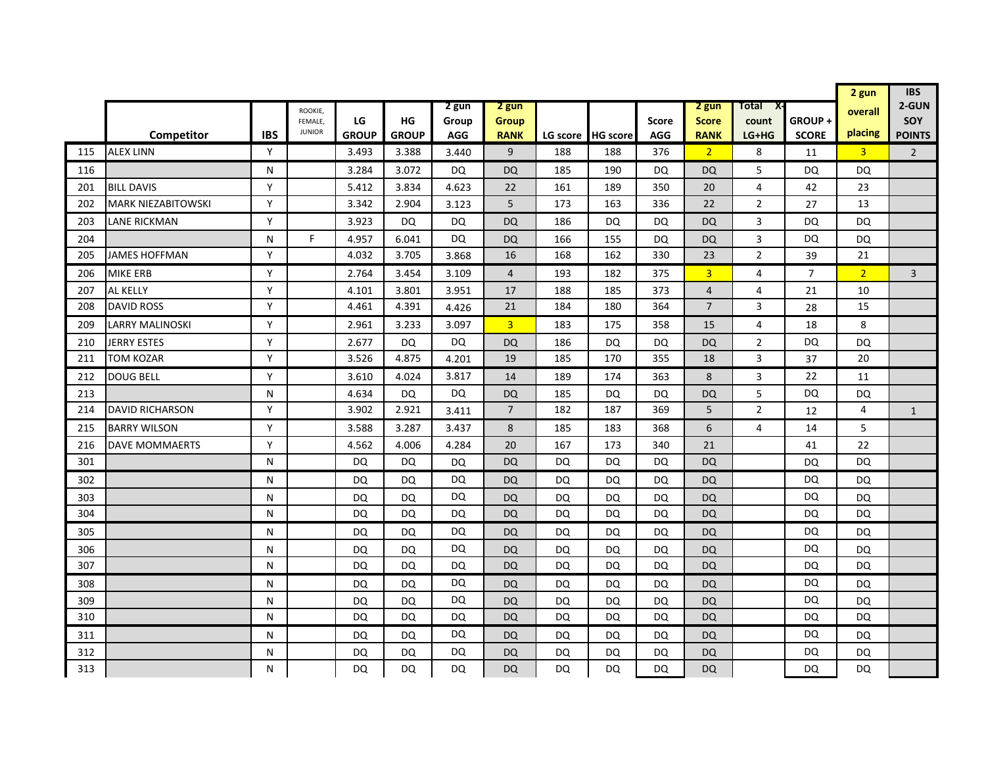|     |                           |            |                          |              |              |            |                |           |                   |              |                |                |                | 2 gun          | <b>IBS</b>     |
|-----|---------------------------|------------|--------------------------|--------------|--------------|------------|----------------|-----------|-------------------|--------------|----------------|----------------|----------------|----------------|----------------|
|     |                           |            | ROOKIE,                  |              |              | 2 gun      | 2 gun          |           |                   |              | 2 gun          | Total<br>X-    |                | overall        | 2-GUN          |
|     |                           |            | FEMALE.<br><b>JUNIOR</b> | LG           | HG           | Group      | Group          |           |                   | <b>Score</b> | <b>Score</b>   | count          | GROUP+         | placing        | SOY            |
|     | Competitor                | <b>IBS</b> |                          | <b>GROUP</b> | <b>GROUP</b> | <b>AGG</b> | <b>RANK</b>    |           | LG score HG score | <b>AGG</b>   | <b>RANK</b>    | LG+HG          | <b>SCORE</b>   |                | <b>POINTS</b>  |
| 115 | <b>ALEX LINN</b>          | Y          |                          | 3.493        | 3.388        | 3.440      | 9              | 188       | 188               | 376          | 2 <sup>1</sup> | 8              | 11             | $\overline{3}$ | $\overline{2}$ |
| 116 |                           | N          |                          | 3.284        | 3.072        | <b>DQ</b>  | DQ             | 185       | 190               | DQ.          | DQ             | 5              | DQ             | DQ             |                |
| 201 | <b>BILL DAVIS</b>         | Y          |                          | 5.412        | 3.834        | 4.623      | 22             | 161       | 189               | 350          | 20             | 4              | 42             | 23             |                |
| 202 | <b>MARK NIEZABITOWSKI</b> | Y          |                          | 3.342        | 2.904        | 3.123      | 5              | 173       | 163               | 336          | 22             | $\overline{2}$ | 27             | 13             |                |
| 203 | LANE RICKMAN              | Y          |                          | 3.923        | DQ           | DQ         | <b>DQ</b>      | 186       | DQ                | DQ.          | DQ             | 3              | <b>DQ</b>      | DQ             |                |
| 204 |                           | N          | F.                       | 4.957        | 6.041        | DQ         | <b>DQ</b>      | 166       | 155               | DQ           | DQ             | 3              | DQ             | DQ             |                |
| 205 | JAMES HOFFMAN             | Y          |                          | 4.032        | 3.705        | 3.868      | 16             | 168       | 162               | 330          | 23             | $\overline{2}$ | 39             | 21             |                |
| 206 | <b>MIKE ERB</b>           | Y          |                          | 2.764        | 3.454        | 3.109      | $\overline{4}$ | 193       | 182               | 375          | $\overline{3}$ | 4              | $\overline{7}$ | 2 <sup>1</sup> | $\overline{3}$ |
| 207 | AL KELLY                  | Y          |                          | 4.101        | 3.801        | 3.951      | 17             | 188       | 185               | 373          | $\overline{4}$ | 4              | 21             | 10             |                |
| 208 | <b>DAVID ROSS</b>         | Y          |                          | 4.461        | 4.391        | 4.426      | 21             | 184       | 180               | 364          | $\overline{7}$ | 3              | 28             | 15             |                |
| 209 | LARRY MALINOSKI           | Y          |                          | 2.961        | 3.233        | 3.097      | $\overline{3}$ | 183       | 175               | 358          | 15             | 4              | 18             | 8              |                |
| 210 | <b>JERRY ESTES</b>        | Y          |                          | 2.677        | DQ           | DQ         | <b>DQ</b>      | 186       | DQ                | DQ           | DQ             | $\overline{2}$ | DQ             | DQ             |                |
| 211 | TOM KOZAR                 | Y          |                          | 3.526        | 4.875        | 4.201      | 19             | 185       | 170               | 355          | 18             | 3              | 37             | 20             |                |
| 212 | <b>DOUG BELL</b>          | Y          |                          | 3.610        | 4.024        | 3.817      | 14             | 189       | 174               | 363          | 8              | 3              | 22             | 11             |                |
| 213 |                           | N          |                          | 4.634        | DQ           | <b>DQ</b>  | <b>DQ</b>      | 185       | DQ                | <b>DQ</b>    | DQ             | 5              | DQ             | DQ             |                |
| 214 | <b>DAVID RICHARSON</b>    | Y          |                          | 3.902        | 2.921        | 3.411      | $\overline{7}$ | 182       | 187               | 369          | 5              | $\overline{2}$ | 12             | $\overline{4}$ | $\mathbf{1}$   |
| 215 | <b>BARRY WILSON</b>       | Y          |                          | 3.588        | 3.287        | 3.437      | 8              | 185       | 183               | 368          | 6              | 4              | 14             | 5              |                |
| 216 | <b>DAVE MOMMAERTS</b>     | Y          |                          | 4.562        | 4.006        | 4.284      | 20             | 167       | 173               | 340          | 21             |                | 41             | 22             |                |
| 301 |                           | N          |                          | DQ           | DQ           | DQ         | <b>DQ</b>      | <b>DQ</b> | DQ                | <b>DQ</b>    | DQ             |                | DQ             | DQ             |                |
| 302 |                           | N          |                          | DQ           | <b>DQ</b>    | DQ         | <b>DQ</b>      | DQ        | DQ                | <b>DQ</b>    | DQ             |                | DQ             | DQ             |                |
| 303 |                           | N          |                          | DQ           | DQ           | DQ         | <b>DQ</b>      | DQ        | DQ                | DQ           | <b>DQ</b>      |                | DQ             | DQ             |                |
| 304 |                           | N          |                          | DQ           | DQ           | DQ         | <b>DQ</b>      | DQ        | DQ                | DQ           | DQ             |                | DQ             | <b>DQ</b>      |                |
| 305 |                           | N          |                          | DQ           | DQ           | DQ         | <b>DQ</b>      | DQ        | DQ                | DQ           | DQ             |                | DQ             | DQ             |                |
| 306 |                           | N          |                          | <b>DQ</b>    | DQ           | DQ         | <b>DQ</b>      | DQ        | DQ                | <b>DQ</b>    | <b>DQ</b>      |                | <b>DQ</b>      | <b>DQ</b>      |                |
| 307 |                           | N          |                          | DQ           | DQ           | DQ         | <b>DQ</b>      | DQ        | DQ                | <b>DQ</b>    | <b>DQ</b>      |                | DQ             | <b>DQ</b>      |                |
| 308 |                           | N          |                          | DQ           | DQ           | DQ         | <b>DQ</b>      | DQ        | DQ                | DQ           | DQ             |                | DQ             | DQ             |                |
| 309 |                           | N          |                          | DQ           | DQ           | <b>DQ</b>  | <b>DQ</b>      | DQ        | DQ                | DQ           | DQ             |                | DQ             | DQ             |                |
| 310 |                           | N          |                          | DQ           | DQ           | DQ         | <b>DQ</b>      | <b>DQ</b> | DQ                | DQ           | DQ             |                | DQ             | DQ             |                |
| 311 |                           | N          |                          | DQ           | DQ           | DQ         | <b>DQ</b>      | DQ        | DQ                | DQ           | DQ             |                | DQ             | DQ             |                |
| 312 |                           | N          |                          | DQ           | DQ           | DQ         | DQ.            | DQ        | DQ                | DQ           | DQ             |                | <b>DQ</b>      | DQ             |                |
| 313 |                           | N          |                          | DQ           | DQ           | DQ         | <b>DQ</b>      | DQ        | DQ                | DQ           | <b>DQ</b>      |                | DQ             | DQ             |                |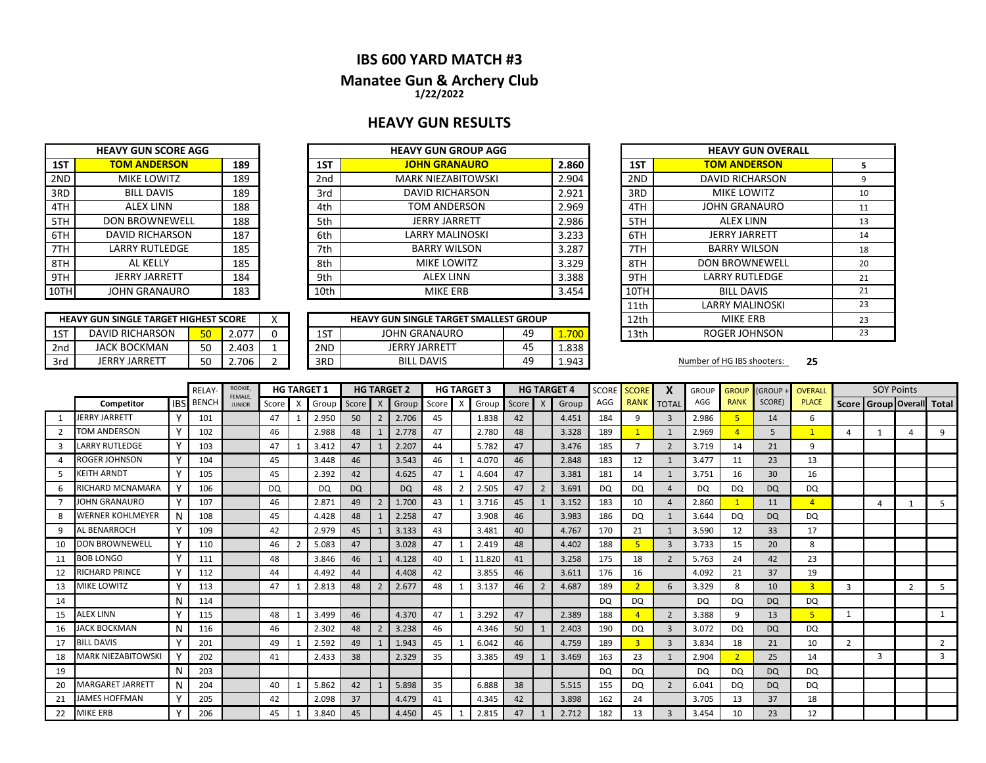## **IBS 600 YARD MATCH #3**

### **Manatee Gun & Archery Club 1/22/2022**

### **HEAVY GUN RESULTS**

|     | <b>HEAVY GUN SCORE AGG</b> |     |
|-----|----------------------------|-----|
| 1ST | <b>TOM ANDERSON</b>        | 189 |
| 2ND | <b>MIKE LOWITZ</b>         | 189 |
| 3RD | <b>BILL DAVIS</b>          | 189 |
| 4TH | <b>ALEX LINN</b>           | 188 |
| 5TH | <b>DON BROWNEWELL</b>      | 188 |
| 6TH | <b>DAVID RICHARSON</b>     | 187 |
| 7TH | <b>LARRY RUTLEDGE</b>      | 185 |
| 8TH | <b>AL KELLY</b>            | 185 |
| 9TH | <b>JERRY JARRETT</b>       | 184 |
| 10T | <b>JOHN GRANAURO</b>       | 183 |

|       | <b>HEAVY GUN GROUP AGG</b> |                 |     | <b>HEAVY GUN SCORE AGG</b> |      |
|-------|----------------------------|-----------------|-----|----------------------------|------|
| 2.860 | <b>JOHN GRANAURO</b>       | 1ST             | 189 | <b>TOM ANDERSON</b>        | 1ST  |
| 2.904 | <b>MARK NIEZABITOWSKI</b>  | 2 <sub>nd</sub> | 189 | MIKE LOWITZ                | 2ND  |
| 2.921 | <b>DAVID RICHARSON</b>     | 3rd             | 189 | <b>BILL DAVIS</b>          | 3RD  |
| 2.969 | TOM ANDERSON               | 4th             | 188 | <b>ALEX LINN</b>           | 4TH  |
| 2.986 | <b>JERRY JARRETT</b>       | 5th             | 188 | <b>DON BROWNEWELL</b>      | 5TH  |
| 3.233 | LARRY MALINOSKI            | 6th             | 187 | <b>DAVID RICHARSON</b>     | 6TH  |
| 3.287 | <b>BARRY WILSON</b>        | 7th             | 185 | <b>LARRY RUTLEDGE</b>      | 7TH  |
| 3.329 | <b>MIKE LOWITZ</b>         | 8th             | 185 | AL KELLY                   | 8TH  |
| 3.388 | <b>ALEX LINN</b>           | 9th             | 184 | <b>JERRY JARRETT</b>       | 9TH  |
| 3.454 | <b>MIKE ERB</b>            | 10th            | 183 | <b>JOHN GRANAURO</b>       | 10TH |

|     | <b>HEAVY GUN SINGLE TARGET HIGHEST SCORE</b> |                 |            |  |     | <b>HEAVY GUN SINGLE TARGET SMALLEST GROUP</b> |                      |       | 12th | MIKE ERB                   |    |
|-----|----------------------------------------------|-----------------|------------|--|-----|-----------------------------------------------|----------------------|-------|------|----------------------------|----|
| 15T | DAVID RICHARSON                              | 50              | $-2.07$    |  | 1ST | <b>JOHN GRANAURO</b>                          | 49                   | 700   | 13th | ROGER JOHNSON              |    |
| 2nd | <b>JACK BOCKMAN</b>                          | <b>FO</b><br>JU | 2.403      |  | 2ND | <b>JERRY JARRETT</b>                          | $\overline{ }$<br>45 | 1.838 |      |                            |    |
| 3rd | JERRY JARRETT                                | <b>FO</b><br>JU | .706<br>L. |  | 3RD | DAVIS<br><b>BILL</b>                          | 49                   | 1.943 |      | Number of HG IBS shooters: | 25 |

| <b>HEAVY GUN GROUP AGG</b>              |    |       |      | <b>HEAVY GUN OVERALL</b> |    |
|-----------------------------------------|----|-------|------|--------------------------|----|
| <b>JOHN GRANAURO</b>                    |    | 2.860 | 1ST  | <b>TOM ANDERSON</b>      | 5  |
| <b>MARK NIEZABITOWSKI</b>               |    | 2.904 | 2ND  | <b>DAVID RICHARSON</b>   | 9  |
| <b>DAVID RICHARSON</b>                  |    | 2.921 | 3RD  | <b>MIKE LOWITZ</b>       | 10 |
| TOM ANDERSON                            |    | 2.969 | 4TH  | JOHN GRANAURO            | 11 |
| <b>JERRY JARRETT</b>                    |    | 2.986 | 5TH  | <b>ALEX LINN</b>         | 13 |
| <b>LARRY MALINOSKI</b>                  |    | 3.233 | 6TH  | <b>JERRY JARRETT</b>     | 14 |
| <b>BARRY WILSON</b>                     |    | 3.287 | 7TH  | <b>BARRY WILSON</b>      | 18 |
| MIKE LOWITZ                             |    | 3.329 | 8TH  | <b>DON BROWNEWELL</b>    | 20 |
| <b>ALEX LINN</b>                        |    | 3.388 | 9TH  | <b>LARRY RUTLEDGE</b>    | 21 |
| MIKE ERB                                |    | 3.454 | 10TH | <b>BILL DAVIS</b>        | 21 |
|                                         |    |       | 11th | <b>LARRY MALINOSKI</b>   | 23 |
| <b>GUN SINGLE TARGET SMALLEST GROUP</b> |    |       | 12th | <b>MIKE ERB</b>          | 23 |
| JOHN GRANAURO                           | 49 | 1.700 | 13th | ROGER JOHNSON            | 23 |

|    |                           |              | RELAY        | ROOKIE,<br>FEMALE. |           |                | <b>HG TARGET 1</b> |           |                | <b>HG TARGET 2</b> |              |   | <b>HG TARGET 3</b> |       |                | <b>HG TARGET 4</b> | <b>SCORE</b> | <b>SCORE</b> | X              | <b>GROUP</b> | <b>GROUP</b> | <b>GROUP</b> | <b>OVERALL</b> |               | <b>SOY Points</b> |              |                           |
|----|---------------------------|--------------|--------------|--------------------|-----------|----------------|--------------------|-----------|----------------|--------------------|--------------|---|--------------------|-------|----------------|--------------------|--------------|--------------|----------------|--------------|--------------|--------------|----------------|---------------|-------------------|--------------|---------------------------|
|    | Competitor                | <b>IBS</b>   | <b>BENCH</b> | <b>JUNIOR</b>      | Score     | $\mathbf{x}$   | Group              | Score     | $\mathsf{X}$   | Group              | <b>Score</b> | X | Group              | Score | $\mathsf{X}$   | Group              | AGG          | <b>RANK</b>  | <b>TOTAL</b>   | AGG          | <b>RANK</b>  | SCORE)       | <b>PLACE</b>   |               |                   |              | Score Group Overall Total |
|    | <b>JERRY JARRETT</b>      |              | 101          |                    | 47        |                | 2.950              | 50        | $\overline{2}$ | 2.706              | 45           |   | 1.838              | 42    |                | 4.451              | 184          | 9            | $\overline{3}$ | 2.986        | 5            | 14           | 6              |               |                   |              |                           |
|    | <b>TOM ANDERSON</b>       | v            | 102          |                    | 46        |                | 2.988              | 48        |                | 2.778              | 47           |   | 2.780              | 48    |                | 3.328              | 189          |              | $\mathbf{1}$   | 2.969        |              | 5            |                |               | $\mathbf{1}$      | Δ            | q                         |
| 3  | <b>LARRY RUTLEDGE</b>     | Υ            | 103          |                    | 47        |                | 3.412              | 47        | $\mathbf{1}$   | 2.207              | 44           |   | 5.782              | 47    |                | 3.476              | 185          |              | $\overline{2}$ | 3.719        | 14           | 21           | q              |               |                   |              |                           |
|    | ROGER JOHNSON             | v            | 104          |                    | 45        |                | 3.448              | 46        |                | 3.543              | 46           |   | 4.070              | 46    |                | 2.848              | 183          | 12           | 1              | 3.477        | 11           | 23           | 13             |               |                   |              |                           |
|    | <b>KEITH ARNDT</b>        |              | 105          |                    | 45        |                | 2.392              | 42        |                | 4.625              | 47           |   | 4.604              | 47    |                | 3.381              | 181          | 14           |                | 3.751        | 16           | 30           | 16             |               |                   |              |                           |
| 6  | RICHARD MCNAMARA          |              | 106          |                    | <b>DQ</b> |                | DQ                 | <b>DQ</b> |                | <b>DQ</b>          | 48           |   | 2.505              | 47    | $\overline{2}$ | 3.691              | DQ           | <b>DQ</b>    | $\overline{4}$ | DQ           | DQ           | DQ           | DQ             |               |                   |              |                           |
|    | <b>JOHN GRANAURO</b>      |              | 107          |                    | 46        |                | 2.871              | 49        | $\overline{2}$ | 1.700              | 43           |   | 3.716              | 45    |                | 3.152              | 183          | 10           | $\overline{4}$ | 2.860        |              | 11           | $\overline{4}$ |               | 4                 | $\mathbf{1}$ |                           |
| 8  | <b>WERNER KOHLMEYER</b>   | N            | 108          |                    | 45        |                | 4.428              | 48        |                | 2.258              | 47           |   | 3.908              | 46    |                | 3.983              | 186          | <b>DQ</b>    |                | 3.644        | DQ           | <b>DQ</b>    | DQ             |               |                   |              |                           |
| 9  | <b>AL BENARROCH</b>       | Υ            | 109          |                    | 42        |                | 2.979              | 45        | $\mathbf{1}$   | 3.133              | 43           |   | 3.481              | 40    |                | 4.767              | 170          | 21           |                | 3.590        | 12           | 33           | 17             |               |                   |              |                           |
| 10 | <b>DON BROWNEWELL</b>     | v            | 110          |                    | 46        | $\overline{2}$ | 5.083              | 47        |                | 3.028              | 47           |   | 2.419              | 48    |                | 4.402              | 188          |              | $\overline{3}$ | 3.733        | 15           | 20           | 8              |               |                   |              |                           |
| 11 | <b>BOB LONGO</b>          | v            | 111          |                    | 48        |                | 3.846              | 46        | -1             | 4.128              | 40           |   | 11.820             | 41    |                | 3.258              | 175          | 18           | $\overline{2}$ | 5.763        | 24           | 42           | 23             |               |                   |              |                           |
| 12 | <b>RICHARD PRINCE</b>     | $\checkmark$ | 112          |                    | 44        |                | 4.492              | 44        |                | 4.408              | 42           |   | 3.855              | 46    |                | 3.611              | 176          | 16           |                | 4.092        | 21           | 37           | 19             |               |                   |              |                           |
| 13 | <b>MIKE LOWITZ</b>        | v            | 113          |                    | 47        |                | 2.813              | 48        | $\overline{2}$ | 2.677              | 48           |   | 3.137              | 46    | $\overline{2}$ | 4.687              | 189          |              | 6              | 3.329        | 8            | 10           | $\overline{3}$ | 3             |                   | 2            | 5                         |
| 14 |                           | N            | 114          |                    |           |                |                    |           |                |                    |              |   |                    |       |                |                    | <b>DQ</b>    | DQ           |                | DQ           | DQ           | <b>DQ</b>    | DQ             |               |                   |              |                           |
| 15 | <b>ALEX LINN</b>          |              | 115          |                    | 48        |                | 3.499              | 46        |                | 4.370              | 47           |   | 3.292              | 47    |                | 2.389              | 188          |              | $\overline{2}$ | 3.388        | 9            | 13           | 5 <sup>1</sup> | 1             |                   |              |                           |
| 16 | <b>ACK BOCKMAN</b>        | N            | 116          |                    | 46        |                | 2.302              | 48        | $\overline{2}$ | 3.238              | 46           |   | 4.346              | 50    |                | 2.403              | 190          | DQ           | $\overline{3}$ | 3.072        | DQ           | <b>DQ</b>    | DQ             |               |                   |              |                           |
| 17 | <b>BILL DAVIS</b>         |              | 201          |                    | 49        |                | 2.592              | 49        |                | 1.943              | 45           |   | 6.042              | 46    |                | 4.759              | 189          |              | $\overline{3}$ | 3.834        | 18           | 21           | 10             | $\mathcal{P}$ |                   |              | 2                         |
| 18 | <b>MARK NIEZABITOWSKI</b> |              | 202          |                    | 41        |                | 2.433              | 38        |                | 2.329              | 35           |   | 3.385              | 49    |                | 3.469              | 163          | 23           |                | 2.904        |              | 25           | 14             |               | $\overline{3}$    |              | 3                         |
| 19 |                           |              | 203          |                    |           |                |                    |           |                |                    |              |   |                    |       |                |                    | <b>DQ</b>    | DQ           |                | DQ           | <b>DQ</b>    | <b>DQ</b>    | <b>DQ</b>      |               |                   |              |                           |
| 20 | MARGARET JARRETT          | N            | 204          |                    | 40        |                | 5.862              | 42        | 1              | 5.898              | 35           |   | 6.888              | 38    |                | 5.515              | 155          | DQ           | $\overline{2}$ | 6.041        | DQ.          | <b>DQ</b>    | DQ             |               |                   |              |                           |
|    | <b>JAMES HOFFMAN</b>      |              | 205          |                    | 42        |                | 2.098              | 37        |                | 4.479              | 41           |   | 4.345              | 42    |                | 3.898              | 162          | 24           |                | 3.705        | 13           | 37           | 18             |               |                   |              |                           |
| 22 | <b>MIKE ERB</b>           |              | 206          |                    | 45        |                | 3.840              | 45        |                | 4.450              | 45           |   | 2.815              | 47    |                | 2.712              | 182          | 13           | $\mathbf{3}$   | 3.454        | 10           | 23           | 12             |               |                   |              |                           |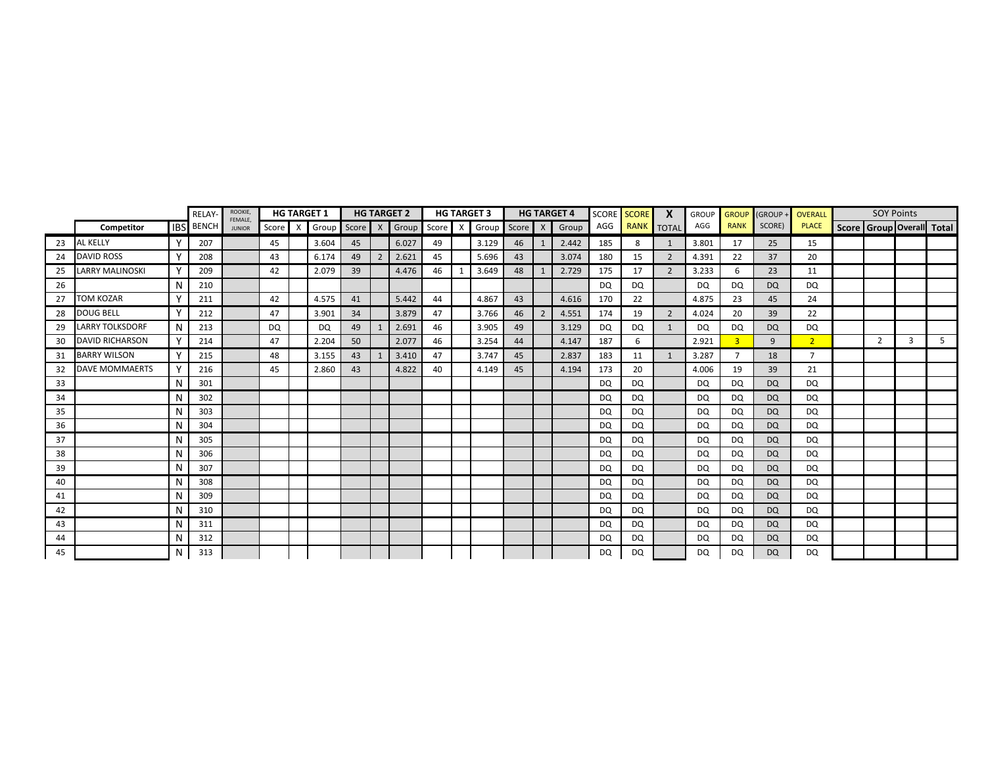|    |                        |             | <b>RELAY</b>     | ROOKIE,<br><b>FEMALE</b> |       |          | <b>HG TARGET 1</b> |         |                | <b>HG TARGET 2</b>  |    | <b>HG TARGET 3</b> |         | <b>HG TARGET 4</b> | SCORE     | <b>SCORE</b> | X              | <b>GROUP</b> | <b>GROUP</b>   | (GROUP -  | <b>OVERALL</b> | <b>SOY Points</b>               |   |   |
|----|------------------------|-------------|------------------|--------------------------|-------|----------|--------------------|---------|----------------|---------------------|----|--------------------|---------|--------------------|-----------|--------------|----------------|--------------|----------------|-----------|----------------|---------------------------------|---|---|
|    | Competitor             |             | <b>IBS</b> BENCH | <b>JUNIOR</b>            | Score | $\times$ | Group              | Score X |                | Group Score X Group |    |                    | Score X | Group              | AGG       | <b>RANK</b>  | <b>TOTAL</b>   | AGG          | <b>RANK</b>    | SCORE)    | <b>PLACE</b>   | Score   Group   Overall   Total |   |   |
| 23 | <b>AL KELLY</b>        | v           | 207              |                          | 45    |          | 3.604              | 45      |                | 6.027               | 49 | 3.129              | 46      | 2.442              | 185       | 8            | 1              | 3.801        | 17             | 25        | 15             |                                 |   |   |
| 24 | <b>DAVID ROSS</b>      | $\mathbf v$ | 208              |                          | 43    |          | 6.174              | 49      | $\overline{2}$ | 2.621               | 45 | 5.696              | 43      | 3.074              | 180       | 15           | $\overline{2}$ | 4.391        | 22             | 37        | 20             |                                 |   |   |
| 25 | <b>LARRY MALINOSKI</b> |             | 209              |                          | 42    |          | 2.079              | 39      |                | 4.476               | 46 | 3.649              | 48      | 2.729              | 175       | 17           | 2              | 3.233        | 6              | 23        | 11             |                                 |   |   |
| 26 |                        | N           | 210              |                          |       |          |                    |         |                |                     |    |                    |         |                    | DQ.       | <b>DQ</b>    |                | <b>DQ</b>    | <b>DQ</b>      | DQ        | <b>DQ</b>      |                                 |   |   |
| 27 | <b>TOM KOZAR</b>       | v           | 211              |                          | 42    |          | 4.575              | 41      |                | 5.442               | 44 | 4.867              | 43      | 4.616              | 170       | 22           |                | 4.875        | 23             | 45        | 24             |                                 |   |   |
| 28 | <b>DOUG BELL</b>       | v           | 212              |                          | 47    |          | 3.901              | 34      |                | 3.879               | 47 | 3.766              | 46      | 4.551              | 174       | 19           | $\overline{2}$ | 4.024        | 20             | 39        | 22             |                                 |   |   |
| 29 | <b>LARRY TOLKSDORF</b> | N.          | 213              |                          | DQ.   |          | <b>DQ</b>          | 49      |                | 2.691               | 46 | 3.905              | 49      | 3.129              | DQ        | DQ           | $\mathbf{1}$   | DQ           | DQ             | <b>DQ</b> | DQ             |                                 |   |   |
| 30 | <b>DAVID RICHARSON</b> | Υ           | 214              |                          | 47    |          | 2.204              | 50      |                | 2.077               | 46 | 3.254              | 44      | 4.147              | 187       | 6            |                | 2.921        | $\overline{3}$ | 9         | 2 <sup>1</sup> | $\overline{2}$                  | 3 | 5 |
| 31 | <b>BARRY WILSON</b>    |             | 215              |                          | 48    |          | 3.155              | 43      |                | 3.410               | 47 | 3.747              | 45      | 2.837              | 183       | 11           | 1              | 3.287        | $\overline{7}$ | 18        | $\overline{ }$ |                                 |   |   |
| 32 | <b>DAVE MOMMAERTS</b>  |             | 216              |                          | 45    |          | 2.860              | 43      |                | 4.822               | 40 | 4.149              | 45      | 4.194              | 173       | 20           |                | 4.006        | 19             | 39        | 21             |                                 |   |   |
| 33 |                        |             | 301              |                          |       |          |                    |         |                |                     |    |                    |         |                    | <b>DQ</b> | <b>DQ</b>    |                | DQ           | DQ             | <b>DQ</b> | DQ             |                                 |   |   |
| 34 |                        |             | 302              |                          |       |          |                    |         |                |                     |    |                    |         |                    | <b>DQ</b> | DQ           |                | DQ           | DQ             | <b>DQ</b> | DQ             |                                 |   |   |
| 35 |                        |             | 303              |                          |       |          |                    |         |                |                     |    |                    |         |                    | <b>DQ</b> | DQ           |                | <b>DQ</b>    | DQ             | <b>DQ</b> | <b>DQ</b>      |                                 |   |   |
| 36 |                        |             | 304              |                          |       |          |                    |         |                |                     |    |                    |         |                    | <b>DQ</b> | <b>DQ</b>    |                | <b>DQ</b>    | DQ             | <b>DQ</b> | <b>DO</b>      |                                 |   |   |
| 37 |                        |             | 305              |                          |       |          |                    |         |                |                     |    |                    |         |                    | DQ        | DQ           |                | <b>DQ</b>    | <b>DQ</b>      | DQ        | <b>DQ</b>      |                                 |   |   |
| 38 |                        |             | 306              |                          |       |          |                    |         |                |                     |    |                    |         |                    | <b>DQ</b> | DQ           |                | DQ           | <b>DQ</b>      | <b>DQ</b> | <b>DQ</b>      |                                 |   |   |
| 39 |                        | N           | 307              |                          |       |          |                    |         |                |                     |    |                    |         |                    | DQ        | <b>DQ</b>    |                | DQ           | DQ             | <b>DQ</b> | DQ             |                                 |   |   |
| 40 |                        | N           | 308              |                          |       |          |                    |         |                |                     |    |                    |         |                    | <b>DQ</b> | DQ           |                | DQ           | DQ             | <b>DQ</b> | DQ             |                                 |   |   |
| 41 |                        |             | 309              |                          |       |          |                    |         |                |                     |    |                    |         |                    | DQ        | DQ           |                | DQ           | DQ             | <b>DQ</b> | <b>DO</b>      |                                 |   |   |
| 42 |                        |             | 310              |                          |       |          |                    |         |                |                     |    |                    |         |                    | DQ        | DQ           |                | DQ           | DQ             | <b>DQ</b> | DQ             |                                 |   |   |
| 43 |                        |             | 311              |                          |       |          |                    |         |                |                     |    |                    |         |                    | DQ        | DQ           |                | DQ           | DQ             | <b>DQ</b> | DQ             |                                 |   |   |
| 44 |                        |             | 312              |                          |       |          |                    |         |                |                     |    |                    |         |                    | DQ        | DQ           |                | <b>DQ</b>    | DQ             | <b>DQ</b> | DQ             |                                 |   |   |
| 45 |                        |             | 313              |                          |       |          |                    |         |                |                     |    |                    |         |                    | <b>DQ</b> | DQ           |                | <b>DQ</b>    | DQ             | <b>DQ</b> | <b>DQ</b>      |                                 |   |   |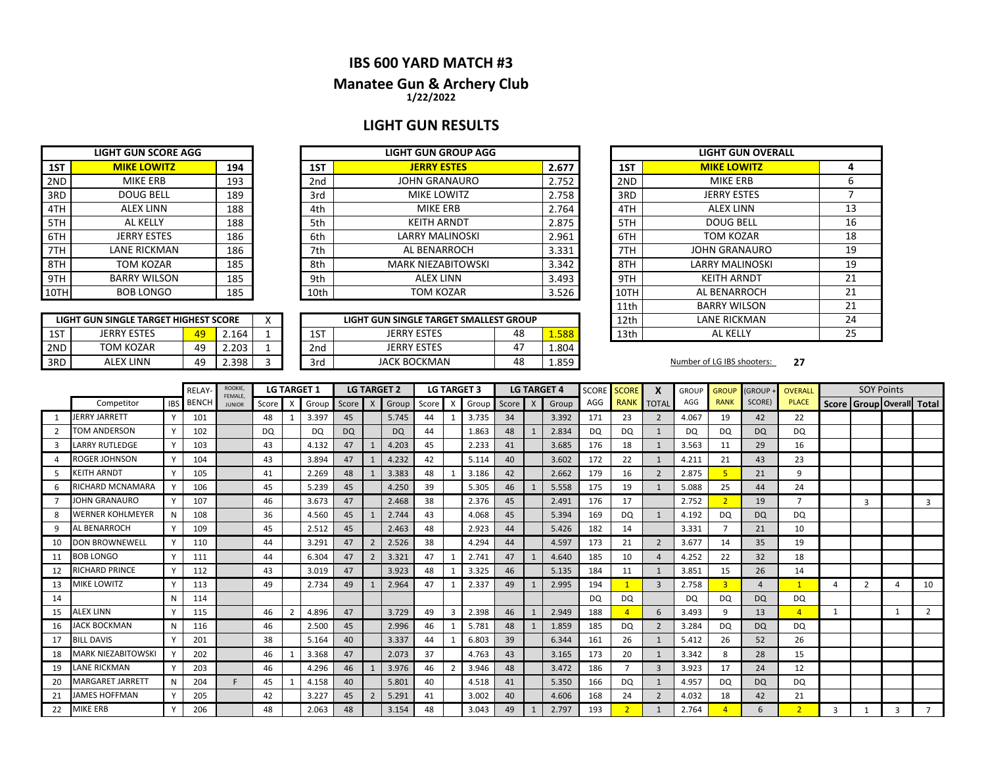### **IBS 600 YARD MATCH #3**

### **1/22/2022 Manatee Gun & Archery Club**

## **LIGHT GUN RESULTS**

|     | <b>LIGHT GUN SCORE AGG</b> |     |
|-----|----------------------------|-----|
| 1ST | <b>MIKE LOWITZ</b>         | 194 |
| 2ND | <b>MIKE ERB</b>            | 193 |
| 3RD | <b>DOUG BELL</b>           | 189 |
| 4TH | <b>ALEX LINN</b>           | 188 |
| 5TH | AL KELLY                   | 188 |
| 6TH | <b>JERRY ESTES</b>         | 186 |
| 7TH | <b>LANE RICKMAN</b>        | 186 |
| 8TH | <b>TOM KOZAR</b>           | 185 |
| 9TH | <b>BARRY WILSON</b>        | 185 |
|     | <b>BOB LONGO</b>           | 185 |

| .OTH | <b>BOB LONGO</b><br>185               |    |       |   |  |  |  |  |  |  |  |  |
|------|---------------------------------------|----|-------|---|--|--|--|--|--|--|--|--|
|      |                                       |    |       |   |  |  |  |  |  |  |  |  |
|      | LIGHT GUN SINGLE TARGET HIGHEST SCORE |    |       |   |  |  |  |  |  |  |  |  |
| 1ST  | <b>JERRY ESTES</b>                    | 49 | 2.164 |   |  |  |  |  |  |  |  |  |
| 2ND  | TOM KOZAR                             | 49 | 2.203 |   |  |  |  |  |  |  |  |  |
| 3RD  | AI FX LINN                            | 49 | 2.398 | 3 |  |  |  |  |  |  |  |  |

|      | <b>LIGHT GUN SCORE AGG</b> |     |      | <b>LIGHT GUN GROUP AGG</b> |       |      | <b>LIGHT GUN O'</b>  |
|------|----------------------------|-----|------|----------------------------|-------|------|----------------------|
| 1ST  | <b>MIKE LOWITZ</b>         | 194 | 1ST  | <b>JERRY ESTES</b>         | 2.677 | 1ST  | <b>MIKE LOWITZ</b>   |
| 2ND  | MIKE ERB                   | 193 | 2nd  | <b>JOHN GRANAURO</b>       | 2.752 | 2ND  | <b>MIKE ERB</b>      |
| 3RD  | <b>DOUG BELL</b>           | 189 | 3rd  | <b>MIKE LOWITZ</b>         | 2.758 | 3RD  | <b>JERRY ESTES</b>   |
| 4TH  | <b>ALEX LINN</b>           | 188 | 4th  | MIKE ERB                   | 2.764 | 4TH  | <b>ALEX LINN</b>     |
| 5TH  | AL KELLY                   | 188 | 5th  | <b>KEITH ARNDT</b>         | 2.875 | 5TH  | <b>DOUG BELL</b>     |
| 6TH  | <b>JERRY ESTES</b>         | 186 | 6th  | LARRY MALINOSKI            | 2.961 | 6TH  | TOM KOZAR            |
| 7TH  | LANE RICKMAN               | 186 | 7th  | AL BENARROCH               | 3.331 | 7TH  | <b>JOHN GRANAUI</b>  |
| 8TH  | TOM KOZAR                  | 185 | 8th  | <b>MARK NIEZABITOWSKI</b>  | 3.342 | 8TH  | <b>LARRY MALINOS</b> |
| 9TH  | <b>BARRY WILSON</b>        | 185 | 9th  | <b>ALEX LINN</b>           | 3.493 | 9TH  | <b>KEITH ARNDT</b>   |
| 10TH | <b>BOB LONGO</b>           | 185 | 10th | TOM KOZAR                  | 3.526 | 10TH | AL BENARROC          |

|     | LIGHT GUN SINGLE TARGET HIGHEST SCORE |    |         |  |     | LIGHT GUN SINGLE TARGET SMALLEST GROUP |    |       | 12th |
|-----|---------------------------------------|----|---------|--|-----|----------------------------------------|----|-------|------|
| 1ST | <b>JERRY ESTES</b>                    | 49 | 164     |  | 1ST | <b>JERRY ESTES</b>                     | 48 | .588  | 13th |
| 2ND | TOM KOZAR                             | 49 | 203     |  | 2nd | <b>JERRY ESTES</b>                     | 47 | 1.804 |      |
| 3RD | ALEX LINN                             | 49 | ∠.398 ່ |  | 3rd | JACK BOCKMAN                           | 48 | 1.859 |      |

|                 | <b>LIGHT GUN OVERALL</b> |    |
|-----------------|--------------------------|----|
| 1ST             | <b>MIKE LOWITZ</b>       | 4  |
| 2 <sub>ND</sub> | <b>MIKF FRB</b>          | 6  |
| 3RD             | <b>JERRY ESTES</b>       | 7  |
| 4TH             | ALEX LINN                | 13 |
| 5TH             | DOUG BELL                | 16 |
| 6TH             | <b>TOM KOZAR</b>         | 18 |
| 7TH             | <b>JOHN GRANAURO</b>     | 19 |
| 8TH             | <b>LARRY MALINOSKI</b>   | 19 |
| 9TH             | <b>KEITH ARNDT</b>       | 21 |
| 10TH            | AL BENARROCH             | 21 |
| 11th            | <b>BARRY WILSON</b>      | 21 |
| 12th            | LANE RICKMAN             | 24 |
| 13th            | AL KELLY                 | 25 |

Number of LG IBS shooters: 27

|               |                           |            | RELAY        | ROOKIE,<br><b>FEMALE</b> |       | <b>LG TARGET 1</b> |       |           |                | <b>LG TARGET 2</b> |    |   | <b>LG TARGET 3</b> |       |              | <b>LG TARGET 4</b> | <b>SCORE</b> | <b>SCORE</b>   | X              | <b>GROUP</b> | <b>GROUP</b>   | <b>GROUP</b>     | <b>OVERALL</b> |              | <b>SOY Points</b>         |              |                |
|---------------|---------------------------|------------|--------------|--------------------------|-------|--------------------|-------|-----------|----------------|--------------------|----|---|--------------------|-------|--------------|--------------------|--------------|----------------|----------------|--------------|----------------|------------------|----------------|--------------|---------------------------|--------------|----------------|
|               | Competitor                | <b>IBS</b> | <b>BENCH</b> | <b>JUNIOR</b>            | Score | X                  | Group | Score     | $\mathsf{X}$   | Group Score X      |    |   | Group              | Score | $\mathsf{X}$ | Group              | AGG          | <b>RANK</b>    | <b>TOTAL</b>   | AGG          | <b>RANK</b>    | SCORE)           | <b>PLACE</b>   |              | Score Group Overall Total |              |                |
|               | JERRY JARRETT             |            | 101          |                          | 48    |                    | 3.397 | 45        |                | 5.745              | 44 |   | 3.735              | 34    |              | 3.392              | 171          | 23             | 2              | 4.067        | 19             | 42               | 22             |              |                           |              |                |
| $\mathcal{L}$ | <b>TOM ANDERSON</b>       |            | 102          |                          | DQ    |                    | DQ.   | <b>DQ</b> |                | DQ                 | 44 |   | 1.863              | 48    |              | 2.834              | DQ.          | DQ             |                | <b>DQ</b>    | <b>DQ</b>      | <b>DQ</b>        | DQ             |              |                           |              |                |
|               | <b>LARRY RUTLEDGE</b>     |            | 103          |                          | 43    |                    | 4.132 | 47        |                | 4.203              | 45 |   | 2.233              | 41    |              | 3.685              | 176          | 18             |                | 3.563        | 11             | 29               | 16             |              |                           |              |                |
|               | <b>ROGER JOHNSON</b>      |            | 104          |                          | 43    |                    | 3.894 | 47        | $\mathbf{1}$   | 4.232              | 42 |   | 5.114              | 40    |              | 3.602              | 172          | 22             |                | 4.211        | 21             | 43               | 23             |              |                           |              |                |
|               | <b>KEITH ARNDT</b>        |            | 105          |                          | 41    |                    | 2.269 | 48        |                | 3.383              | 48 |   | 3.186              | 42    |              | 2.662              | 179          | 16             | $\overline{2}$ | 2.875        | 5              | 21               | 9              |              |                           |              |                |
|               | RICHARD MCNAMARA          |            | 106          |                          | 45    |                    | 5.239 | 45        |                | 4.250              | 39 |   | 5.305              | 46    |              | 5.558              | 175          | 19             |                | 5.088        | 25             | 44               | 24             |              |                           |              |                |
|               | JOHN GRANAURO             |            | 107          |                          | 46    |                    | 3.673 | 47        |                | 2.468              | 38 |   | 2.376              | 45    |              | 2.491              | 176          | 17             |                | 2.752        | $\overline{2}$ | 19               | $\overline{7}$ |              | 3                         |              | $\overline{3}$ |
| 8             | <b>WERNER KOHLMEYER</b>   | N          | 108          |                          | 36    |                    | 4.560 | 45        |                | 2.744              | 43 |   | 4.068              | 45    |              | 5.394              | 169          | <b>DQ</b>      | $\mathbf{1}$   | 4.192        | <b>DQ</b>      | DQ               | DQ.            |              |                           |              |                |
|               | <b>AL BENARROCH</b>       |            | 109          |                          | 45    |                    | 2.512 | 45        |                | 2.463              | 48 |   | 2.923              | 44    |              | 5.426              | 182          | 14             |                | 3.331        |                | 21               | 10             |              |                           |              |                |
| 10            | <b>DON BROWNEWELL</b>     |            | 110          |                          | 44    |                    | 3.291 | 47        | $\overline{2}$ | 2.526              | 38 |   | 4.294              | 44    |              | 4.597              | 173          | 21             | $\overline{2}$ | 3.677        | 14             | 35               | 19             |              |                           |              |                |
| 11            | <b>BOB LONGO</b>          |            | 111          |                          | 44    |                    | 6.304 | 47        | $\overline{2}$ | 3.321              | 47 |   | 2.741              | 47    |              | 4.640              | 185          | 10             | $\overline{a}$ | 4.252        | 22             | 32               | 18             |              |                           |              |                |
| 12            | <b>RICHARD PRINCE</b>     |            | 112          |                          | 43    |                    | 3.019 | 47        |                | 3.923              | 48 |   | 3.325              | 46    |              | 5.135              | 184          | 11             |                | 3.851        | 15             | 26               | 14             |              |                           |              |                |
| 13            | <b>MIKE LOWITZ</b>        |            | 113          |                          | 49    |                    | 2.734 | 49        |                | 2.964              | 47 |   | 2.337              | 49    |              | 2.995              | 194          | $\overline{1}$ | $\mathbf{3}$   | 2.758        | $\overline{3}$ | 4                | $\overline{1}$ | Δ            | $\overline{2}$            |              | 10             |
| 14            |                           | N          | 114          |                          |       |                    |       |           |                |                    |    |   |                    |       |              |                    | DQ           | DQ             |                | DQ           | DQ             | <b>DQ</b>        | DQ.            |              |                           |              |                |
| 15            | <b>ALEX LINN</b>          |            | 115          |                          | 46    |                    | 4.896 | 47        |                | 3.729              | 49 | 3 | 2.398              | 46    |              | 2.949              | 188          |                | 6              | 3.493        | 9              | 13               | $\overline{4}$ | 1            |                           | 1            | $\overline{2}$ |
| 16            | <b>JACK BOCKMAN</b>       |            | 116          |                          | 46    |                    | 2.500 | 45        |                | 2.996              | 46 |   | 5.781              | 48    |              | 1.859              | 185          | DQ             | $\overline{2}$ | 3.284        | DQ             | <b>DQ</b>        | DQ             |              |                           |              |                |
| 17            | <b>BILL DAVIS</b>         |            | 201          |                          | 38    |                    | 5.164 | 40        |                | 3.337              | 44 |   | 6.803              | 39    |              | 6.344              | 161          | 26             |                | 5.412        | 26             | 52               | 26             |              |                           |              |                |
| 18            | <b>MARK NIEZABITOWSKI</b> |            | 202          |                          | 46    |                    | 3.368 | 47        |                | 2.073              | 37 |   | 4.763              | 43    |              | 3.165              | 173          | 20             |                | 3.342        | 8              | 28               | 15             |              |                           |              |                |
| 19            | <b>LANE RICKMAN</b>       |            | 203          |                          | 46    |                    | 4.296 | 46        |                | 3.976              | 46 |   | 3.946              | 48    |              | 3.472              | 186          | $\overline{7}$ | $\mathbf{3}$   | 3.923        | 17             | 24               | 12             |              |                           |              |                |
| 20            | <b>MARGARET JARRETT</b>   | N          | 204          |                          | 45    |                    | 4.158 | 40        |                | 5.801              | 40 |   | 4.518              | 41    |              | 5.350              | 166          | DQ             | $\mathbf{1}$   | 4.957        | DQ             | <b>DQ</b>        | DQ             |              |                           |              |                |
| 21            | <b>JAMES HOFFMAN</b>      |            | 205          |                          | 42    |                    | 3.227 | 45        | $\overline{2}$ | 5.291              | 41 |   | 3.002              | 40    |              | 4.606              | 168          | 24             | 2              | 4.032        | 18             | 42               | 21             |              |                           |              |                |
| 22            | <b>MIKE ERB</b>           |            | 206          |                          | 48    |                    | 2.063 | 48        |                | 3.154              | 48 |   | 3.043              | 49    |              | 2.797              | 193          |                |                | 2.764        |                | $6 \overline{6}$ | $\overline{ }$ | $\mathbf{R}$ |                           | $\mathbf{a}$ |                |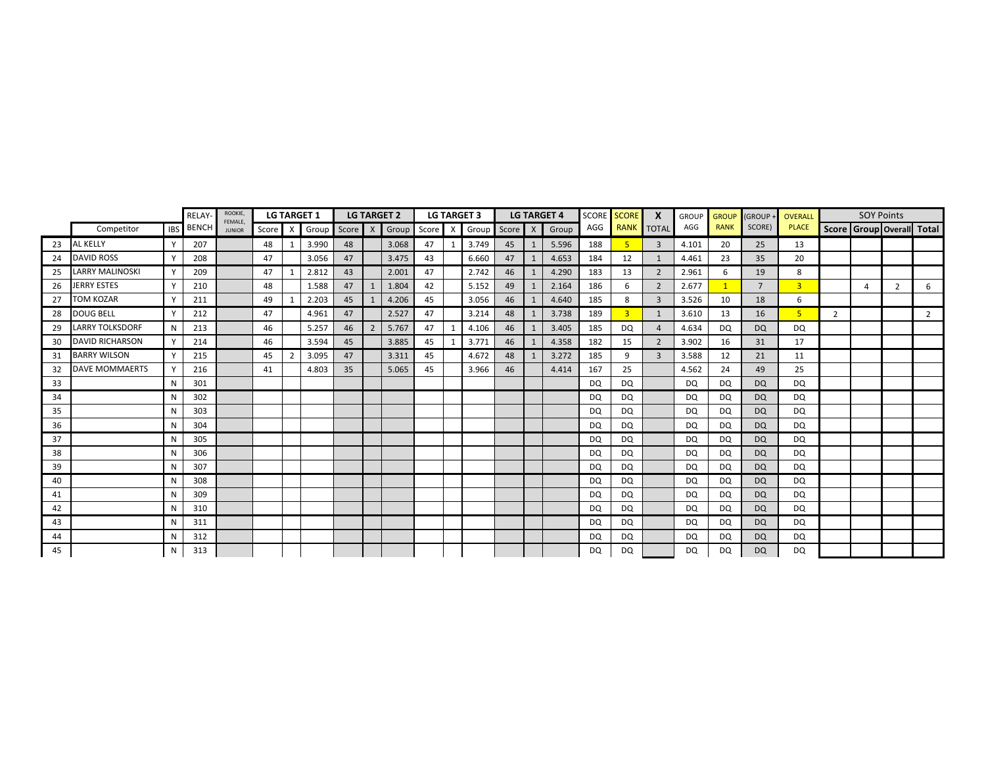|    |                        |            | RELAY        | ROOKIE,<br>FEMALE. |       |                           | <b>LG TARGET 1</b> |         |                | <b>LG TARGET 2</b> |    |   | <b>LG TARGET 3</b> |    |     | <b>LG TARGET 4</b> | <b>SCORE</b> | <b>SCORE</b>   | X              | <b>GROUP</b> | <b>GROUP</b> | <b>GROUP</b>   | OVERALL        |   | <b>SOY Points</b>     |                |                                 |
|----|------------------------|------------|--------------|--------------------|-------|---------------------------|--------------------|---------|----------------|--------------------|----|---|--------------------|----|-----|--------------------|--------------|----------------|----------------|--------------|--------------|----------------|----------------|---|-----------------------|----------------|---------------------------------|
|    | Competitor             | <b>IBS</b> | <b>BENCH</b> | <b>JUNIOR</b>      | Score | $\boldsymbol{\mathsf{X}}$ | Group              | Score X |                | Group Score X      |    |   | Group Score        |    | X   | Group              | AGG          | <b>RANK</b>    | <b>TOTAL</b>   | AGG          | <b>RANK</b>  | SCORE)         | <b>PLACE</b>   |   |                       |                | Score   Group   Overall   Total |
| 23 | AL KELLY               |            | 207          |                    | 48    |                           | 3.990              | 48      |                | 3.068              | 47 | 1 | 3.749              | 45 | -1  | 5.596              | 188          |                | $\overline{3}$ | 4.101        | 20           | 25             | 13             |   |                       |                |                                 |
| 24 | <b>DAVID ROSS</b>      |            | 208          |                    | 47    |                           | 3.056              | 47      |                | 3.475              | 43 |   | 6.660              | 47 |     | 4.653              | 184          | 12             |                | 4.461        | 23           | 35             | 20             |   |                       |                |                                 |
| 25 | <b>LARRY MALINOSKI</b> |            | 209          |                    | 47    |                           | 2.812              | 43      |                | 2.001              | 47 |   | 2.742              | 46 | - 1 | 4.290              | 183          | 13             | 2              | 2.961        | 6            | 19             | 8              |   |                       |                |                                 |
| 26 | JERRY ESTES            |            | 210          |                    | 48    |                           | 1.588              | 47      |                | 1.804              | 42 |   | 5.152              | 49 |     | 2.164              | 186          | 6              | $\overline{2}$ | 2.677        |              | $\overline{7}$ | $\overline{3}$ |   | $\boldsymbol{\Delta}$ | $\overline{2}$ | 6                               |
| 27 | TOM KOZAR              |            | 211          |                    | 49    |                           | 2.203              | 45      |                | 4.206              | 45 |   | 3.056              | 46 |     | 4.640              | 185          | 8              | $\overline{3}$ | 3.526        | 10           | 18             | 6              |   |                       |                |                                 |
| 28 | <b>DOUG BELL</b>       |            | 212          |                    | 47    |                           | 4.961              | 47      |                | 2.527              | 47 |   | 3.214              | 48 |     | 3.738              | 189          | $\overline{3}$ |                | 3.610        | 13           | 16             | 5 <sup>1</sup> | 2 |                       |                | $\overline{2}$                  |
| 29 | <b>LARRY TOLKSDORF</b> | N          | 213          |                    | 46    |                           | 5.257              | 46      | $\overline{2}$ | 5.767              | 47 |   | 4.106              | 46 |     | 3.405              | 185          | DQ             | $\overline{4}$ | 4.634        | DQ           | <b>DQ</b>      | DQ             |   |                       |                |                                 |
| 30 | <b>DAVID RICHARSON</b> |            | 214          |                    | 46    |                           | 3.594              | 45      |                | 3.885              | 45 |   | 3.771              | 46 |     | 4.358              | 182          | 15             | $\overline{2}$ | 3.902        | 16           | 31             | 17             |   |                       |                |                                 |
| 31 | <b>BARRY WILSON</b>    |            | 215          |                    | 45    | $\overline{2}$            | 3.095              | 47      |                | 3.311              | 45 |   | 4.672              | 48 |     | 3.272              | 185          | 9              | $\overline{3}$ | 3.588        | 12           | 21             | 11             |   |                       |                |                                 |
| 32 | <b>DAVE MOMMAERTS</b>  |            | 216          |                    | 41    |                           | 4.803              | 35      |                | 5.065              | 45 |   | 3.966              | 46 |     | 4.414              | 167          | 25             |                | 4.562        | 24           | 49             | 25             |   |                       |                |                                 |
| 33 |                        | N          | 301          |                    |       |                           |                    |         |                |                    |    |   |                    |    |     |                    | <b>DQ</b>    | DQ             |                | DQ           | DQ           | <b>DQ</b>      | DQ             |   |                       |                |                                 |
| 34 |                        | N          | 302          |                    |       |                           |                    |         |                |                    |    |   |                    |    |     |                    | <b>DQ</b>    | DQ             |                | <b>DQ</b>    | DQ           | <b>DQ</b>      | DQ             |   |                       |                |                                 |
| 35 |                        |            | 303          |                    |       |                           |                    |         |                |                    |    |   |                    |    |     |                    | <b>DQ</b>    | DQ             |                | <b>DQ</b>    | DQ           | <b>DQ</b>      | DQ             |   |                       |                |                                 |
| 36 |                        | N          | 304          |                    |       |                           |                    |         |                |                    |    |   |                    |    |     |                    | <b>DQ</b>    | DQ             |                | <b>DQ</b>    | DQ           | <b>DQ</b>      | DQ             |   |                       |                |                                 |
| 37 |                        | N          | 305          |                    |       |                           |                    |         |                |                    |    |   |                    |    |     |                    | <b>DQ</b>    | DQ             |                | <b>DQ</b>    | DQ           | <b>DQ</b>      | DQ             |   |                       |                |                                 |
| 38 |                        | N          | 306          |                    |       |                           |                    |         |                |                    |    |   |                    |    |     |                    | <b>DQ</b>    | <b>DQ</b>      |                | <b>DQ</b>    | DQ           | <b>DQ</b>      | DQ             |   |                       |                |                                 |
| 39 |                        | N          | 307          |                    |       |                           |                    |         |                |                    |    |   |                    |    |     |                    | <b>DQ</b>    | DQ             |                | DQ           | DQ           | <b>DQ</b>      | DQ             |   |                       |                |                                 |
| 40 |                        |            | 308          |                    |       |                           |                    |         |                |                    |    |   |                    |    |     |                    | <b>DQ</b>    | DQ             |                | <b>DQ</b>    | DQ           | <b>DQ</b>      | DQ             |   |                       |                |                                 |
| 41 |                        |            | 309          |                    |       |                           |                    |         |                |                    |    |   |                    |    |     |                    | DQ           | DQ             |                | <b>DQ</b>    | DQ           | <b>DQ</b>      | DQ             |   |                       |                |                                 |
| 42 |                        | N          | 310          |                    |       |                           |                    |         |                |                    |    |   |                    |    |     |                    | <b>DQ</b>    | DQ             |                | <b>DQ</b>    | DQ.          | <b>DQ</b>      | DQ             |   |                       |                |                                 |
| 43 |                        |            | 311          |                    |       |                           |                    |         |                |                    |    |   |                    |    |     |                    | <b>DQ</b>    | DQ             |                | <b>DQ</b>    | DQ.          | <b>DQ</b>      | DQ             |   |                       |                |                                 |
| 44 |                        | N          | 312          |                    |       |                           |                    |         |                |                    |    |   |                    |    |     |                    | <b>DQ</b>    | DQ             |                | <b>DQ</b>    | <b>DQ</b>    | <b>DQ</b>      | DQ             |   |                       |                |                                 |
| 45 |                        | N          | 313          |                    |       |                           |                    |         |                |                    |    |   |                    |    |     |                    | <b>DQ</b>    | DQ             |                | <b>DQ</b>    | DQ           | <b>DQ</b>      | DQ             |   |                       |                |                                 |